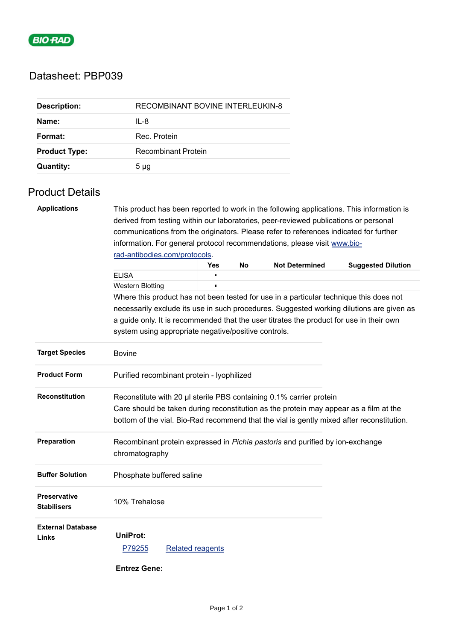

## Datasheet: PBP039

| <b>Description:</b>  | RECOMBINANT BOVINE INTERLEUKIN-8 |
|----------------------|----------------------------------|
| Name:                | IL-8                             |
| Format:              | Rec. Protein                     |
| <b>Product Type:</b> | Recombinant Protein              |
| <b>Quantity:</b>     | $5 \mu$ g                        |

## Product Details

| <b>Applications</b>                       |                                                                                                 |                         |    |                       | This product has been reported to work in the following applications. This information is                                                                                          |  |
|-------------------------------------------|-------------------------------------------------------------------------------------------------|-------------------------|----|-----------------------|------------------------------------------------------------------------------------------------------------------------------------------------------------------------------------|--|
|                                           | derived from testing within our laboratories, peer-reviewed publications or personal            |                         |    |                       |                                                                                                                                                                                    |  |
|                                           | communications from the originators. Please refer to references indicated for further           |                         |    |                       |                                                                                                                                                                                    |  |
|                                           | information. For general protocol recommendations, please visit www.bio-                        |                         |    |                       |                                                                                                                                                                                    |  |
|                                           | rad-antibodies.com/protocols.                                                                   |                         |    |                       |                                                                                                                                                                                    |  |
|                                           |                                                                                                 | <b>Yes</b>              | No | <b>Not Determined</b> | <b>Suggested Dilution</b>                                                                                                                                                          |  |
|                                           | <b>ELISA</b>                                                                                    |                         |    |                       |                                                                                                                                                                                    |  |
|                                           | <b>Western Blotting</b>                                                                         |                         |    |                       |                                                                                                                                                                                    |  |
|                                           |                                                                                                 |                         |    |                       | Where this product has not been tested for use in a particular technique this does not                                                                                             |  |
|                                           |                                                                                                 |                         |    |                       | necessarily exclude its use in such procedures. Suggested working dilutions are given as                                                                                           |  |
|                                           |                                                                                                 |                         |    |                       | a guide only. It is recommended that the user titrates the product for use in their own                                                                                            |  |
|                                           | system using appropriate negative/positive controls.                                            |                         |    |                       |                                                                                                                                                                                    |  |
|                                           |                                                                                                 |                         |    |                       |                                                                                                                                                                                    |  |
| <b>Target Species</b>                     | <b>Bovine</b>                                                                                   |                         |    |                       |                                                                                                                                                                                    |  |
| <b>Product Form</b>                       | Purified recombinant protein - lyophilized                                                      |                         |    |                       |                                                                                                                                                                                    |  |
| <b>Reconstitution</b>                     | Reconstitute with 20 µl sterile PBS containing 0.1% carrier protein                             |                         |    |                       | Care should be taken during reconstitution as the protein may appear as a film at the<br>bottom of the vial. Bio-Rad recommend that the vial is gently mixed after reconstitution. |  |
| Preparation                               | Recombinant protein expressed in Pichia pastoris and purified by ion-exchange<br>chromatography |                         |    |                       |                                                                                                                                                                                    |  |
| <b>Buffer Solution</b>                    | Phosphate buffered saline                                                                       |                         |    |                       |                                                                                                                                                                                    |  |
| <b>Preservative</b><br><b>Stabilisers</b> | 10% Trehalose                                                                                   |                         |    |                       |                                                                                                                                                                                    |  |
| <b>External Database</b>                  |                                                                                                 |                         |    |                       |                                                                                                                                                                                    |  |
| Links                                     | <b>UniProt:</b>                                                                                 |                         |    |                       |                                                                                                                                                                                    |  |
|                                           | P79255                                                                                          | <b>Related reagents</b> |    |                       |                                                                                                                                                                                    |  |
|                                           | <b>Entrez Gene:</b>                                                                             |                         |    |                       |                                                                                                                                                                                    |  |
|                                           |                                                                                                 |                         |    |                       |                                                                                                                                                                                    |  |